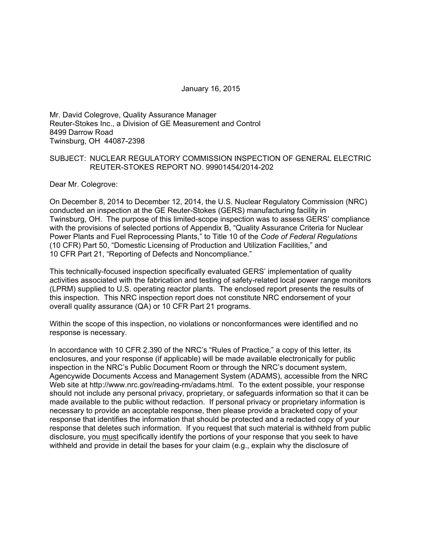January 16, 2015

Mr. David Colegrove, Quality Assurance Manager Reuter-Stokes Inc., a Division of GE Measurement and Control 8499 Darrow Road Twinsburg, OH 44087-2398

#### SUBJECT: NUCLEAR REGULATORY COMMISSION INSPECTION OF GENERAL ELECTRIC REUTER-STOKES REPORT NO. 99901454/2014-202

Dear Mr. Colegrove:

On December 8, 2014 to December 12, 2014, the U.S. Nuclear Regulatory Commission (NRC) conducted an inspection at the GE Reuter-Stokes (GERS) manufacturing facility in Twinsburg, OH. The purpose of this limited-scope inspection was to assess GERS' compliance with the provisions of selected portions of Appendix B, "Quality Assurance Criteria for Nuclear Power Plants and Fuel Reprocessing Plants," to Title 10 of the *Code of Federal Regulations*  (10 CFR) Part 50, "Domestic Licensing of Production and Utilization Facilities," and 10 CFR Part 21, "Reporting of Defects and Noncompliance."

This technically-focused inspection specifically evaluated GERS' implementation of quality activities associated with the fabrication and testing of safety-related local power range monitors (LPRM) supplied to U.S. operating reactor plants. The enclosed report presents the results of this inspection. This NRC inspection report does not constitute NRC endorsement of your overall quality assurance (QA) or 10 CFR Part 21 programs.

Within the scope of this inspection, no violations or nonconformances were identified and no response is necessary.

In accordance with 10 CFR 2.390 of the NRC's "Rules of Practice," a copy of this letter, its enclosures, and your response (if applicable) will be made available electronically for public inspection in the NRC's Public Document Room or through the NRC's document system, Agencywide Documents Access and Management System (ADAMS), accessible from the NRC Web site at http://www.nrc.gov/reading-rm/adams.html. To the extent possible, your response should not include any personal privacy, proprietary, or safeguards information so that it can be made available to the public without redaction. If personal privacy or proprietary information is necessary to provide an acceptable response, then please provide a bracketed copy of your response that identifies the information that should be protected and a redacted copy of your response that deletes such information. If you request that such material is withheld from public disclosure, you must specifically identify the portions of your response that you seek to have withheld and provide in detail the bases for your claim (e.g., explain why the disclosure of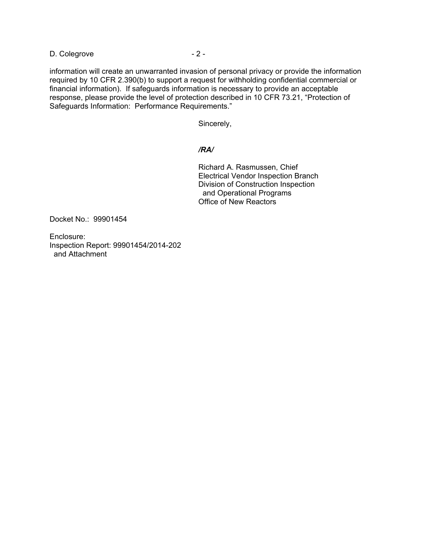D. Colegrove - 2 -

information will create an unwarranted invasion of personal privacy or provide the information required by 10 CFR 2.390(b) to support a request for withholding confidential commercial or financial information). If safeguards information is necessary to provide an acceptable response, please provide the level of protection described in 10 CFR 73.21, "Protection of Safeguards Information: Performance Requirements."

Sincerely,

#### */RA/*

Richard A. Rasmussen, Chief Electrical Vendor Inspection Branch Division of Construction Inspection and Operational Programs Office of New Reactors

Docket No.: 99901454

Enclosure: Inspection Report: 99901454/2014-202 and Attachment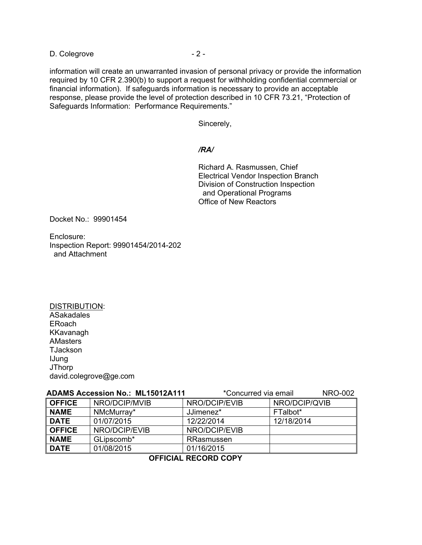D. Colegrove - 2 -

information will create an unwarranted invasion of personal privacy or provide the information required by 10 CFR 2.390(b) to support a request for withholding confidential commercial or financial information). If safeguards information is necessary to provide an acceptable response, please provide the level of protection described in 10 CFR 73.21, "Protection of Safeguards Information: Performance Requirements."

Sincerely,

#### */RA/*

Richard A. Rasmussen, Chief Electrical Vendor Inspection Branch Division of Construction Inspection and Operational Programs Office of New Reactors

Docket No.: 99901454

Enclosure: Inspection Report: 99901454/2014-202 and Attachment

DISTRIBUTION: ASakadales ERoach KKavanagh **AMasters TJackson** IJung **JThorp** david.colegrove@ge.com

|                               | <b>ADAMS Accession No.: ML15012A111</b> | *Concurred via email | <b>NRO-002</b> |
|-------------------------------|-----------------------------------------|----------------------|----------------|
| <b>OFFICE</b>                 | NRO/DCIP/MVIB                           | NRO/DCIP/EVIB        | NRO/DCIP/QVIB  |
| <b>NAME</b>                   | NMcMurray*                              | JJimenez*            | FTalbot*       |
| <b>DATE</b>                   | 01/07/2015                              | 12/22/2014           | 12/18/2014     |
| <b>OFFICE</b>                 | NRO/DCIP/EVIB                           | NRO/DCIP/EVIB        |                |
| <b>NAME</b>                   | GLipscomb*                              | RRasmussen           |                |
| $\overline{\phantom{a}}$ DATE | 01/08/2015                              | 01/16/2015           |                |
|                               |                                         |                      |                |

# **OFFICIAL RECORD COPY**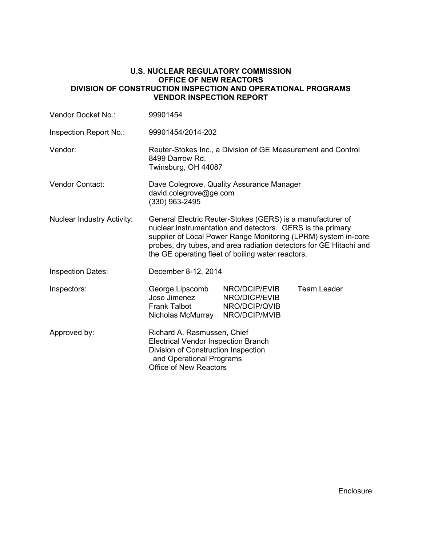### **U.S. NUCLEAR REGULATORY COMMISSION OFFICE OF NEW REACTORS DIVISION OF CONSTRUCTION INSPECTION AND OPERATIONAL PROGRAMS VENDOR INSPECTION REPORT**

| Vendor Docket No.:                | 99901454                                                                                                                                                                                                                                                                                                              |                                                                  |                    |
|-----------------------------------|-----------------------------------------------------------------------------------------------------------------------------------------------------------------------------------------------------------------------------------------------------------------------------------------------------------------------|------------------------------------------------------------------|--------------------|
| Inspection Report No.:            | 99901454/2014-202                                                                                                                                                                                                                                                                                                     |                                                                  |                    |
| Vendor:                           | Reuter-Stokes Inc., a Division of GE Measurement and Control<br>8499 Darrow Rd.<br>Twinsburg, OH 44087                                                                                                                                                                                                                |                                                                  |                    |
| Vendor Contact:                   | Dave Colegrove, Quality Assurance Manager<br>david.colegrove@ge.com<br>(330) 963-2495                                                                                                                                                                                                                                 |                                                                  |                    |
| <b>Nuclear Industry Activity:</b> | General Electric Reuter-Stokes (GERS) is a manufacturer of<br>nuclear instrumentation and detectors. GERS is the primary<br>supplier of Local Power Range Monitoring (LPRM) system in-core<br>probes, dry tubes, and area radiation detectors for GE Hitachi and<br>the GE operating fleet of boiling water reactors. |                                                                  |                    |
| <b>Inspection Dates:</b>          | December 8-12, 2014                                                                                                                                                                                                                                                                                                   |                                                                  |                    |
| Inspectors:                       | George Lipscomb<br>Jose Jimenez<br><b>Frank Talbot</b><br>Nicholas McMurray                                                                                                                                                                                                                                           | NRO/DCIP/EVIB<br>NRO/DICP/EVIB<br>NRO/DCIP/QVIB<br>NRO/DCIP/MVIB | <b>Team Leader</b> |
| Approved by:                      | Richard A. Rasmussen, Chief<br><b>Electrical Vendor Inspection Branch</b><br>Division of Construction Inspection<br>and Operational Programs<br><b>Office of New Reactors</b>                                                                                                                                         |                                                                  |                    |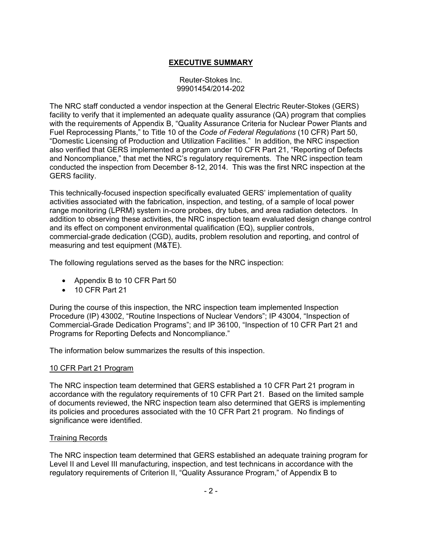# **EXECUTIVE SUMMARY**

#### Reuter-Stokes Inc. 99901454/2014-202

The NRC staff conducted a vendor inspection at the General Electric Reuter-Stokes (GERS) facility to verify that it implemented an adequate quality assurance (QA) program that complies with the requirements of Appendix B, "Quality Assurance Criteria for Nuclear Power Plants and Fuel Reprocessing Plants," to Title 10 of the *Code of Federal Regulations* (10 CFR) Part 50, "Domestic Licensing of Production and Utilization Facilities." In addition, the NRC inspection also verified that GERS implemented a program under 10 CFR Part 21, "Reporting of Defects and Noncompliance," that met the NRC's regulatory requirements. The NRC inspection team conducted the inspection from December 8-12, 2014. This was the first NRC inspection at the GERS facility.

This technically-focused inspection specifically evaluated GERS' implementation of quality activities associated with the fabrication, inspection, and testing, of a sample of local power range monitoring (LPRM) system in-core probes, dry tubes, and area radiation detectors. In addition to observing these activities, the NRC inspection team evaluated design change control and its effect on component environmental qualification (EQ), supplier controls, commercial-grade dedication (CGD), audits, problem resolution and reporting, and control of measuring and test equipment (M&TE).

The following regulations served as the bases for the NRC inspection:

- Appendix B to 10 CFR Part 50
- 10 CFR Part 21

During the course of this inspection, the NRC inspection team implemented Inspection Procedure (IP) 43002, "Routine Inspections of Nuclear Vendors"; IP 43004, "Inspection of Commercial-Grade Dedication Programs"; and IP 36100, "Inspection of 10 CFR Part 21 and Programs for Reporting Defects and Noncompliance."

The information below summarizes the results of this inspection.

### 10 CFR Part 21 Program

The NRC inspection team determined that GERS established a 10 CFR Part 21 program in accordance with the regulatory requirements of 10 CFR Part 21. Based on the limited sample of documents reviewed, the NRC inspection team also determined that GERS is implementing its policies and procedures associated with the 10 CFR Part 21 program. No findings of significance were identified.

### Training Records

The NRC inspection team determined that GERS established an adequate training program for Level II and Level III manufacturing, inspection, and test technicans in accordance with the regulatory requirements of Criterion II, "Quality Assurance Program," of Appendix B to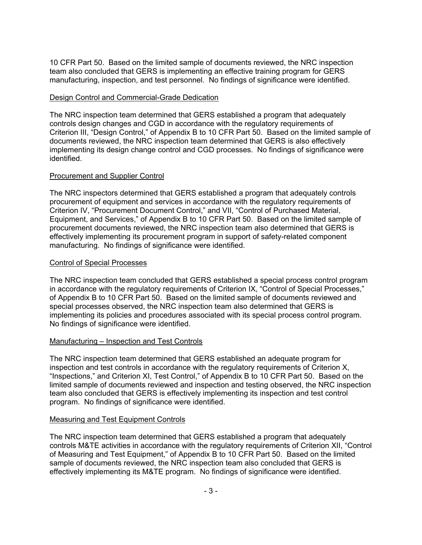10 CFR Part 50. Based on the limited sample of documents reviewed, the NRC inspection team also concluded that GERS is implementing an effective training program for GERS manufacturing, inspection, and test personnel. No findings of significance were identified.

#### Design Control and Commercial-Grade Dedication

The NRC inspection team determined that GERS established a program that adequately controls design changes and CGD in accordance with the regulatory requirements of Criterion III, "Design Control," of Appendix B to 10 CFR Part 50. Based on the limited sample of documents reviewed, the NRC inspection team determined that GERS is also effectively implementing its design change control and CGD processes. No findings of significance were identified.

#### Procurement and Supplier Control

The NRC inspectors determined that GERS established a program that adequately controls procurement of equipment and services in accordance with the regulatory requirements of Criterion IV, "Procurement Document Control," and VII, "Control of Purchased Material, Equipment, and Services," of Appendix B to 10 CFR Part 50. Based on the limited sample of procurement documents reviewed, the NRC inspection team also determined that GERS is effectively implementing its procurement program in support of safety-related component manufacturing. No findings of significance were identified.

#### Control of Special Processes

The NRC inspection team concluded that GERS established a special process control program in accordance with the regulatory requirements of Criterion IX, "Control of Special Processes," of Appendix B to 10 CFR Part 50. Based on the limited sample of documents reviewed and special processes observed, the NRC inspection team also determined that GERS is implementing its policies and procedures associated with its special process control program. No findings of significance were identified.

#### Manufacturing – Inspection and Test Controls

The NRC inspection team determined that GERS established an adequate program for inspection and test controls in accordance with the regulatory requirements of Criterion X, "Inspections," and Criterion XI, Test Control," of Appendix B to 10 CFR Part 50. Based on the limited sample of documents reviewed and inspection and testing observed, the NRC inspection team also concluded that GERS is effectively implementing its inspection and test control program. No findings of significance were identified.

### Measuring and Test Equipment Controls

The NRC inspection team determined that GERS established a program that adequately controls M&TE activities in accordance with the regulatory requirements of Criterion XII, "Control of Measuring and Test Equipment," of Appendix B to 10 CFR Part 50. Based on the limited sample of documents reviewed, the NRC inspection team also concluded that GERS is effectively implementing its M&TE program. No findings of significance were identified.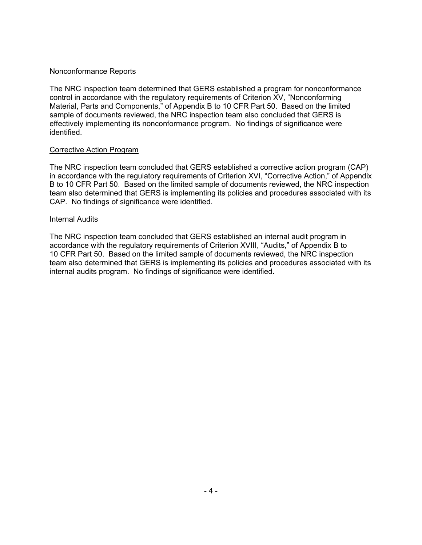### Nonconformance Reports

The NRC inspection team determined that GERS established a program for nonconformance control in accordance with the regulatory requirements of Criterion XV, "Nonconforming Material, Parts and Components," of Appendix B to 10 CFR Part 50. Based on the limited sample of documents reviewed, the NRC inspection team also concluded that GERS is effectively implementing its nonconformance program. No findings of significance were identified.

### Corrective Action Program

The NRC inspection team concluded that GERS established a corrective action program (CAP) in accordance with the regulatory requirements of Criterion XVI, "Corrective Action," of Appendix B to 10 CFR Part 50. Based on the limited sample of documents reviewed, the NRC inspection team also determined that GERS is implementing its policies and procedures associated with its CAP. No findings of significance were identified.

### Internal Audits

The NRC inspection team concluded that GERS established an internal audit program in accordance with the regulatory requirements of Criterion XVIII, "Audits," of Appendix B to 10 CFR Part 50. Based on the limited sample of documents reviewed, the NRC inspection team also determined that GERS is implementing its policies and procedures associated with its internal audits program. No findings of significance were identified.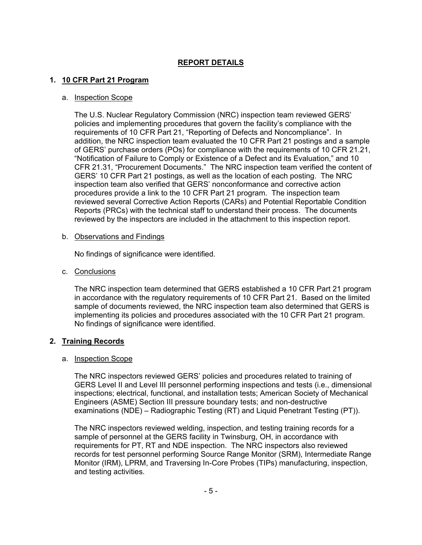# **REPORT DETAILS**

## **1. 10 CFR Part 21 Program**

#### a. Inspection Scope

The U.S. Nuclear Regulatory Commission (NRC) inspection team reviewed GERS' policies and implementing procedures that govern the facility's compliance with the requirements of 10 CFR Part 21, "Reporting of Defects and Noncompliance". In addition, the NRC inspection team evaluated the 10 CFR Part 21 postings and a sample of GERS' purchase orders (POs) for compliance with the requirements of 10 CFR 21.21, "Notification of Failure to Comply or Existence of a Defect and its Evaluation," and 10 CFR 21.31, "Procurement Documents." The NRC inspection team verified the content of GERS' 10 CFR Part 21 postings, as well as the location of each posting. The NRC inspection team also verified that GERS' nonconformance and corrective action procedures provide a link to the 10 CFR Part 21 program. The inspection team reviewed several Corrective Action Reports (CARs) and Potential Reportable Condition Reports (PRCs) with the technical staff to understand their process. The documents reviewed by the inspectors are included in the attachment to this inspection report.

#### b. Observations and Findings

No findings of significance were identified.

c. Conclusions

The NRC inspection team determined that GERS established a 10 CFR Part 21 program in accordance with the regulatory requirements of 10 CFR Part 21. Based on the limited sample of documents reviewed, the NRC inspection team also determined that GERS is implementing its policies and procedures associated with the 10 CFR Part 21 program. No findings of significance were identified.

### **2. Training Records**

### a. Inspection Scope

The NRC inspectors reviewed GERS' policies and procedures related to training of GERS Level II and Level III personnel performing inspections and tests (i.e., dimensional inspections; electrical, functional, and installation tests; American Society of Mechanical Engineers (ASME) Section III pressure boundary tests; and non-destructive examinations (NDE) – Radiographic Testing (RT) and Liquid Penetrant Testing (PT)).

The NRC inspectors reviewed welding, inspection, and testing training records for a sample of personnel at the GERS facility in Twinsburg, OH, in accordance with requirements for PT, RT and NDE inspection. The NRC inspectors also reviewed records for test personnel performing Source Range Monitor (SRM), Intermediate Range Monitor (IRM), LPRM, and Traversing In-Core Probes (TIPs) manufacturing, inspection, and testing activities.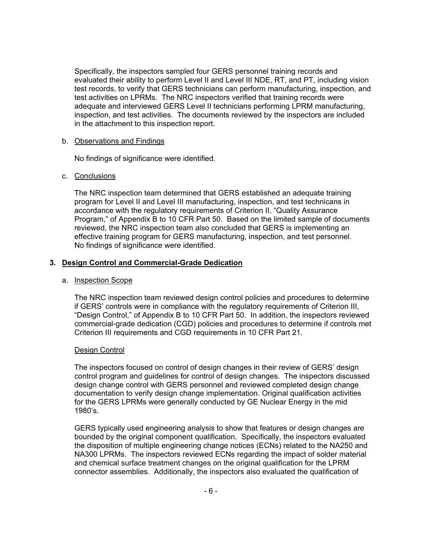Specifically, the inspectors sampled four GERS personnel training records and evaluated their ability to perform Level II and Level III NDE, RT, and PT, including vision test records, to verify that GERS technicians can perform manufacturing, inspection, and test activities on LPRMs. The NRC inspectors verified that training records were adequate and interviewed GERS Level II technicians performing LPRM manufacturing, inspection, and test activities. The documents reviewed by the inspectors are included in the attachment to this inspection report.

#### b. Observations and Findings

No findings of significance were identified.

### c. Conclusions

The NRC inspection team determined that GERS established an adequate training program for Level II and Level III manufacturing, inspection, and test technicans in accordance with the regulatory requirements of Criterion II, "Quality Assurance Program," of Appendix B to 10 CFR Part 50. Based on the limited sample of documents reviewed, the NRC inspection team also concluded that GERS is implementing an effective training program for GERS manufacturing, inspection, and test personnel. No findings of significance were identified.

### **3. Design Control and Commercial-Grade Dedication**

### a. Inspection Scope

The NRC inspection team reviewed design control policies and procedures to determine if GERS' controls were in compliance with the regulatory requirements of Criterion III, "Design Control," of Appendix B to 10 CFR Part 50. In addition, the inspectors reviewed commercial-grade dedication (CGD) policies and procedures to determine if controls met Criterion III requirements and CGD requirements in 10 CFR Part 21.

### Design Control

The inspectors focused on control of design changes in their review of GERS' design control program and guidelines for control of design changes. The inspectors discussed design change control with GERS personnel and reviewed completed design change documentation to verify design change implementation. Original qualification activities for the GERS LPRMs were generally conducted by GE Nuclear Energy in the mid 1980's.

GERS typically used engineering analysis to show that features or design changes are bounded by the original component qualification. Specifically, the inspectors evaluated the disposition of multiple engineering change notices (ECNs) related to the NA250 and NA300 LPRMs. The inspectors reviewed ECNs regarding the impact of solder material and chemical surface treatment changes on the original qualification for the LPRM connector assemblies. Additionally, the inspectors also evaluated the qualification of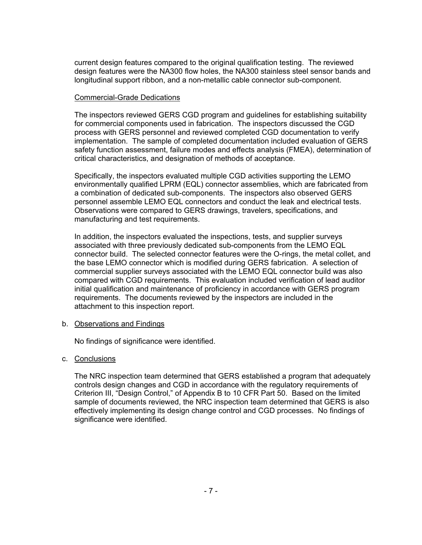current design features compared to the original qualification testing. The reviewed design features were the NA300 flow holes, the NA300 stainless steel sensor bands and longitudinal support ribbon, and a non-metallic cable connector sub-component.

#### Commercial-Grade Dedications

The inspectors reviewed GERS CGD program and guidelines for establishing suitability for commercial components used in fabrication. The inspectors discussed the CGD process with GERS personnel and reviewed completed CGD documentation to verify implementation. The sample of completed documentation included evaluation of GERS safety function assessment, failure modes and effects analysis (FMEA), determination of critical characteristics, and designation of methods of acceptance.

Specifically, the inspectors evaluated multiple CGD activities supporting the LEMO environmentally qualified LPRM (EQL) connector assemblies, which are fabricated from a combination of dedicated sub-components. The inspectors also observed GERS personnel assemble LEMO EQL connectors and conduct the leak and electrical tests. Observations were compared to GERS drawings, travelers, specifications, and manufacturing and test requirements.

In addition, the inspectors evaluated the inspections, tests, and supplier surveys associated with three previously dedicated sub-components from the LEMO EQL connector build. The selected connector features were the O-rings, the metal collet, and the base LEMO connector which is modified during GERS fabrication. A selection of commercial supplier surveys associated with the LEMO EQL connector build was also compared with CGD requirements. This evaluation included verification of lead auditor initial qualification and maintenance of proficiency in accordance with GERS program requirements. The documents reviewed by the inspectors are included in the attachment to this inspection report.

### b. Observations and Findings

No findings of significance were identified.

### c. Conclusions

The NRC inspection team determined that GERS established a program that adequately controls design changes and CGD in accordance with the regulatory requirements of Criterion III, "Design Control," of Appendix B to 10 CFR Part 50. Based on the limited sample of documents reviewed, the NRC inspection team determined that GERS is also effectively implementing its design change control and CGD processes. No findings of significance were identified.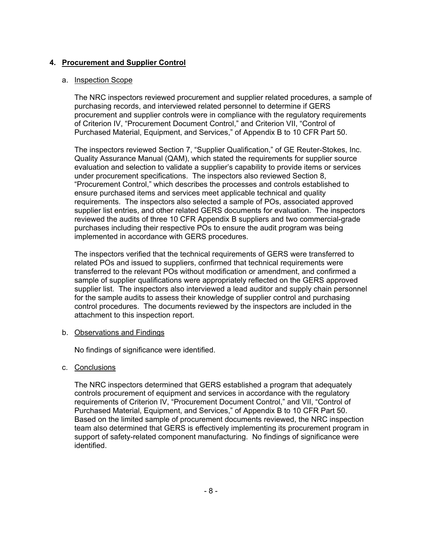## **4. Procurement and Supplier Control**

#### a. Inspection Scope

The NRC inspectors reviewed procurement and supplier related procedures, a sample of purchasing records, and interviewed related personnel to determine if GERS procurement and supplier controls were in compliance with the regulatory requirements of Criterion IV, "Procurement Document Control," and Criterion VII, "Control of Purchased Material, Equipment, and Services," of Appendix B to 10 CFR Part 50.

The inspectors reviewed Section 7, "Supplier Qualification," of GE Reuter-Stokes, Inc. Quality Assurance Manual (QAM), which stated the requirements for supplier source evaluation and selection to validate a supplier's capability to provide items or services under procurement specifications. The inspectors also reviewed Section 8, "Procurement Control," which describes the processes and controls established to ensure purchased items and services meet applicable technical and quality requirements. The inspectors also selected a sample of POs, associated approved supplier list entries, and other related GERS documents for evaluation. The inspectors reviewed the audits of three 10 CFR Appendix B suppliers and two commercial-grade purchases including their respective POs to ensure the audit program was being implemented in accordance with GERS procedures.

The inspectors verified that the technical requirements of GERS were transferred to related POs and issued to suppliers, confirmed that technical requirements were transferred to the relevant POs without modification or amendment, and confirmed a sample of supplier qualifications were appropriately reflected on the GERS approved supplier list. The inspectors also interviewed a lead auditor and supply chain personnel for the sample audits to assess their knowledge of supplier control and purchasing control procedures. The documents reviewed by the inspectors are included in the attachment to this inspection report.

#### b. Observations and Findings

No findings of significance were identified.

### c. Conclusions

The NRC inspectors determined that GERS established a program that adequately controls procurement of equipment and services in accordance with the regulatory requirements of Criterion IV, "Procurement Document Control," and VII, "Control of Purchased Material, Equipment, and Services," of Appendix B to 10 CFR Part 50. Based on the limited sample of procurement documents reviewed, the NRC inspection team also determined that GERS is effectively implementing its procurement program in support of safety-related component manufacturing. No findings of significance were identified.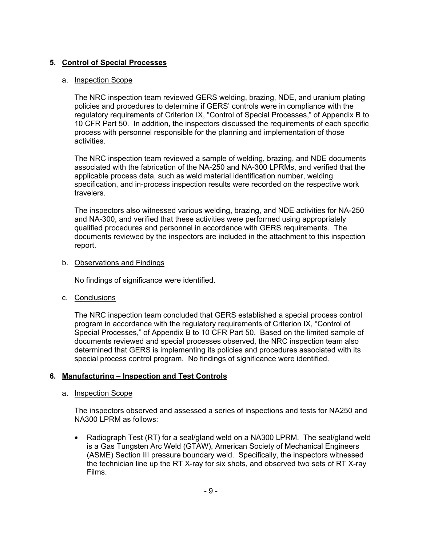## **5. Control of Special Processes**

#### a. Inspection Scope

The NRC inspection team reviewed GERS welding, brazing, NDE, and uranium plating policies and procedures to determine if GERS' controls were in compliance with the regulatory requirements of Criterion IX, "Control of Special Processes," of Appendix B to 10 CFR Part 50. In addition, the inspectors discussed the requirements of each specific process with personnel responsible for the planning and implementation of those activities.

The NRC inspection team reviewed a sample of welding, brazing, and NDE documents associated with the fabrication of the NA-250 and NA-300 LPRMs, and verified that the applicable process data, such as weld material identification number, welding specification, and in-process inspection results were recorded on the respective work travelers.

The inspectors also witnessed various welding, brazing, and NDE activities for NA-250 and NA-300, and verified that these activities were performed using appropriately qualified procedures and personnel in accordance with GERS requirements. The documents reviewed by the inspectors are included in the attachment to this inspection report.

#### b. Observations and Findings

No findings of significance were identified.

c. Conclusions

The NRC inspection team concluded that GERS established a special process control program in accordance with the regulatory requirements of Criterion IX, "Control of Special Processes," of Appendix B to 10 CFR Part 50. Based on the limited sample of documents reviewed and special processes observed, the NRC inspection team also determined that GERS is implementing its policies and procedures associated with its special process control program. No findings of significance were identified.

# **6. Manufacturing – Inspection and Test Controls**

### a. Inspection Scope

The inspectors observed and assessed a series of inspections and tests for NA250 and NA300 LPRM as follows:

• Radiograph Test (RT) for a seal/gland weld on a NA300 LPRM. The seal/gland weld is a Gas Tungsten Arc Weld (GTAW), American Society of Mechanical Engineers (ASME) Section III pressure boundary weld. Specifically, the inspectors witnessed the technician line up the RT X-ray for six shots, and observed two sets of RT X-ray Films.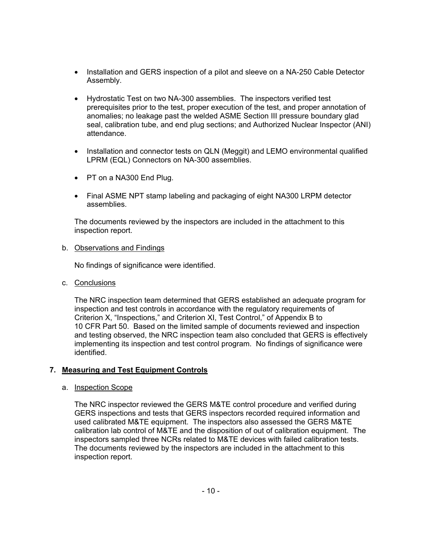- Installation and GERS inspection of a pilot and sleeve on a NA-250 Cable Detector Assembly.
- Hydrostatic Test on two NA-300 assemblies. The inspectors verified test prerequisites prior to the test, proper execution of the test, and proper annotation of anomalies; no leakage past the welded ASME Section III pressure boundary glad seal, calibration tube, and end plug sections; and Authorized Nuclear Inspector (ANI) attendance.
- Installation and connector tests on QLN (Meggit) and LEMO environmental qualified LPRM (EQL) Connectors on NA-300 assemblies.
- PT on a NA300 End Plug.
- Final ASME NPT stamp labeling and packaging of eight NA300 LRPM detector assemblies.

The documents reviewed by the inspectors are included in the attachment to this inspection report.

b. Observations and Findings

No findings of significance were identified.

c. Conclusions

The NRC inspection team determined that GERS established an adequate program for inspection and test controls in accordance with the regulatory requirements of Criterion X, "Inspections," and Criterion XI, Test Control," of Appendix B to 10 CFR Part 50. Based on the limited sample of documents reviewed and inspection and testing observed, the NRC inspection team also concluded that GERS is effectively implementing its inspection and test control program. No findings of significance were identified.

### **7. Measuring and Test Equipment Controls**

a. Inspection Scope

The NRC inspector reviewed the GERS M&TE control procedure and verified during GERS inspections and tests that GERS inspectors recorded required information and used calibrated M&TE equipment. The inspectors also assessed the GERS M&TE calibration lab control of M&TE and the disposition of out of calibration equipment. The inspectors sampled three NCRs related to M&TE devices with failed calibration tests. The documents reviewed by the inspectors are included in the attachment to this inspection report.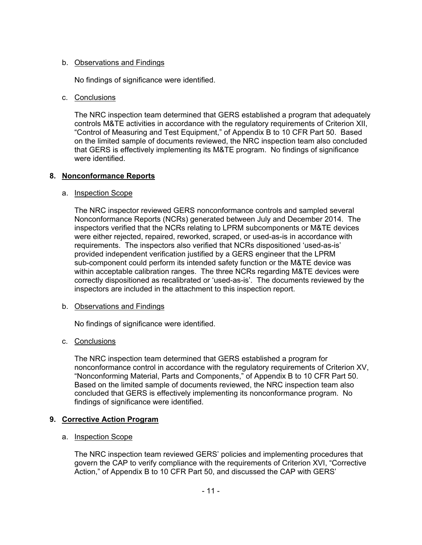## b. Observations and Findings

No findings of significance were identified.

### c. Conclusions

The NRC inspection team determined that GERS established a program that adequately controls M&TE activities in accordance with the regulatory requirements of Criterion XII, "Control of Measuring and Test Equipment," of Appendix B to 10 CFR Part 50. Based on the limited sample of documents reviewed, the NRC inspection team also concluded that GERS is effectively implementing its M&TE program. No findings of significance were identified.

## **8. Nonconformance Reports**

### a. Inspection Scope

The NRC inspector reviewed GERS nonconformance controls and sampled several Nonconformance Reports (NCRs) generated between July and December 2014. The inspectors verified that the NCRs relating to LPRM subcomponents or M&TE devices were either rejected, repaired, reworked, scraped, or used-as-is in accordance with requirements. The inspectors also verified that NCRs dispositioned 'used-as-is' provided independent verification justified by a GERS engineer that the LPRM sub-component could perform its intended safety function or the M&TE device was within acceptable calibration ranges. The three NCRs regarding M&TE devices were correctly dispositioned as recalibrated or 'used-as-is'. The documents reviewed by the inspectors are included in the attachment to this inspection report.

### b. Observations and Findings

No findings of significance were identified.

# c. Conclusions

The NRC inspection team determined that GERS established a program for nonconformance control in accordance with the regulatory requirements of Criterion XV, "Nonconforming Material, Parts and Components," of Appendix B to 10 CFR Part 50. Based on the limited sample of documents reviewed, the NRC inspection team also concluded that GERS is effectively implementing its nonconformance program. No findings of significance were identified.

# **9. Corrective Action Program**

### a. Inspection Scope

The NRC inspection team reviewed GERS' policies and implementing procedures that govern the CAP to verify compliance with the requirements of Criterion XVI, "Corrective Action," of Appendix B to 10 CFR Part 50, and discussed the CAP with GERS'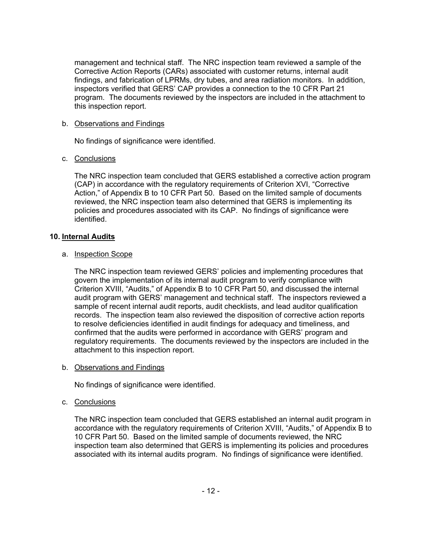management and technical staff. The NRC inspection team reviewed a sample of the Corrective Action Reports (CARs) associated with customer returns, internal audit findings, and fabrication of LPRMs, dry tubes, and area radiation monitors. In addition, inspectors verified that GERS' CAP provides a connection to the 10 CFR Part 21 program. The documents reviewed by the inspectors are included in the attachment to this inspection report.

## b. Observations and Findings

No findings of significance were identified.

# c. Conclusions

The NRC inspection team concluded that GERS established a corrective action program (CAP) in accordance with the regulatory requirements of Criterion XVI, "Corrective Action," of Appendix B to 10 CFR Part 50. Based on the limited sample of documents reviewed, the NRC inspection team also determined that GERS is implementing its policies and procedures associated with its CAP. No findings of significance were identified.

## **10. Internal Audits**

### a. Inspection Scope

The NRC inspection team reviewed GERS' policies and implementing procedures that govern the implementation of its internal audit program to verify compliance with Criterion XVIII, "Audits," of Appendix B to 10 CFR Part 50, and discussed the internal audit program with GERS' management and technical staff. The inspectors reviewed a sample of recent internal audit reports, audit checklists, and lead auditor qualification records. The inspection team also reviewed the disposition of corrective action reports to resolve deficiencies identified in audit findings for adequacy and timeliness, and confirmed that the audits were performed in accordance with GERS' program and regulatory requirements. The documents reviewed by the inspectors are included in the attachment to this inspection report.

### b. Observations and Findings

No findings of significance were identified.

### c. Conclusions

The NRC inspection team concluded that GERS established an internal audit program in accordance with the regulatory requirements of Criterion XVIII, "Audits," of Appendix B to 10 CFR Part 50. Based on the limited sample of documents reviewed, the NRC inspection team also determined that GERS is implementing its policies and procedures associated with its internal audits program. No findings of significance were identified.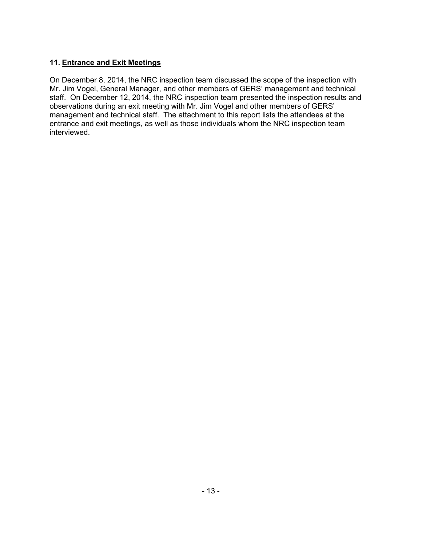# **11. Entrance and Exit Meetings**

On December 8, 2014, the NRC inspection team discussed the scope of the inspection with Mr. Jim Vogel, General Manager, and other members of GERS' management and technical staff. On December 12, 2014, the NRC inspection team presented the inspection results and observations during an exit meeting with Mr. Jim Vogel and other members of GERS' management and technical staff. The attachment to this report lists the attendees at the entrance and exit meetings, as well as those individuals whom the NRC inspection team interviewed.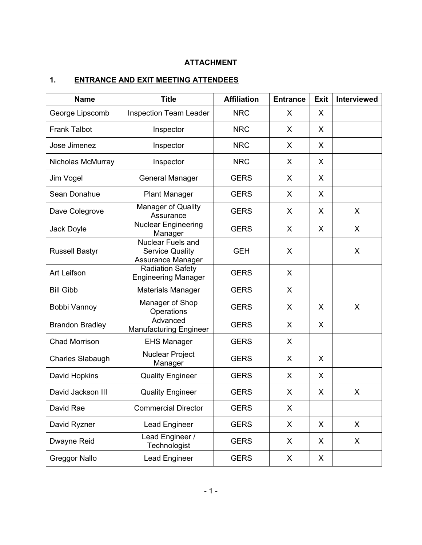# **ATTACHMENT**

# **1. ENTRANCE AND EXIT MEETING ATTENDEES**

| <b>Name</b>             | <b>Title</b>                                                     | <b>Affiliation</b> | <b>Entrance</b> | <b>Exit</b> | Interviewed  |
|-------------------------|------------------------------------------------------------------|--------------------|-----------------|-------------|--------------|
| George Lipscomb         | <b>Inspection Team Leader</b>                                    | <b>NRC</b>         | X               | X.          |              |
| <b>Frank Talbot</b>     | Inspector                                                        | <b>NRC</b>         | X               | X           |              |
| Jose Jimenez            | Inspector                                                        | <b>NRC</b>         | X               | X           |              |
| Nicholas McMurray       | Inspector                                                        | <b>NRC</b>         | X               | X           |              |
| Jim Vogel               | <b>General Manager</b>                                           | <b>GERS</b>        | X               | X           |              |
| Sean Donahue            | <b>Plant Manager</b>                                             | <b>GERS</b>        | X               | X           |              |
| Dave Colegrove          | Manager of Quality<br>Assurance                                  | <b>GERS</b>        | X               | X           | $\mathsf{X}$ |
| Jack Doyle              | Nuclear Engineering<br>Manager                                   | <b>GERS</b>        | X               | X           | $\mathsf{X}$ |
| <b>Russell Bastyr</b>   | Nuclear Fuels and<br><b>Service Quality</b><br>Assurance Manager | <b>GEH</b>         | X               |             | X            |
| Art Leifson             | <b>Radiation Safety</b><br><b>Engineering Manager</b>            | <b>GERS</b>        | X               |             |              |
| <b>Bill Gibb</b>        | <b>Materials Manager</b>                                         | <b>GERS</b>        | X               |             |              |
| Bobbi Vannoy            | Manager of Shop<br>Operations                                    | <b>GERS</b>        | X               | X           | X            |
| <b>Brandon Bradley</b>  | Advanced<br><b>Manufacturing Engineer</b>                        | <b>GERS</b>        | X               | X           |              |
| <b>Chad Morrison</b>    | <b>EHS Manager</b>                                               | <b>GERS</b>        | X               |             |              |
| <b>Charles Slabaugh</b> | <b>Nuclear Project</b><br>Manager                                | <b>GERS</b>        | X               | X           |              |
| David Hopkins           | <b>Quality Engineer</b>                                          | <b>GERS</b>        | X               | X           |              |
| David Jackson III       | <b>Quality Engineer</b>                                          | <b>GERS</b>        | X               | X           | X            |
| David Rae               | <b>Commercial Director</b>                                       | <b>GERS</b>        | X               |             |              |
| David Ryzner            | Lead Engineer                                                    | <b>GERS</b>        | X               | X           | X            |
| Dwayne Reid             | Lead Engineer /<br>Technologist                                  | <b>GERS</b>        | X               | X           | X.           |
| <b>Greggor Nallo</b>    | <b>Lead Engineer</b>                                             | <b>GERS</b>        | X               | X           |              |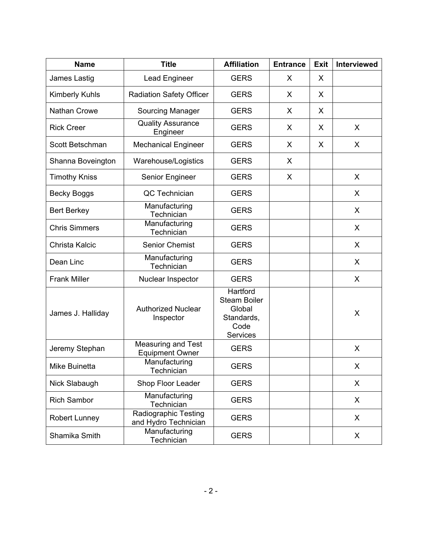| <b>Name</b>           | <b>Title</b>                                 | <b>Affiliation</b>                                                                 | <b>Entrance</b> | <b>Exit</b> | Interviewed |
|-----------------------|----------------------------------------------|------------------------------------------------------------------------------------|-----------------|-------------|-------------|
| James Lastig          | <b>Lead Engineer</b>                         | <b>GERS</b>                                                                        | X               | X           |             |
| <b>Kimberly Kuhls</b> | <b>Radiation Safety Officer</b>              | <b>GERS</b>                                                                        | X               | X           |             |
| Nathan Crowe          | Sourcing Manager                             | <b>GERS</b>                                                                        | X               | X           |             |
| <b>Rick Creer</b>     | <b>Quality Assurance</b><br>Engineer         | <b>GERS</b>                                                                        | X               | X           | X           |
| Scott Betschman       | <b>Mechanical Engineer</b>                   | <b>GERS</b>                                                                        | X               | X           | X           |
| Shanna Boveington     | Warehouse/Logistics                          | <b>GERS</b>                                                                        | X               |             |             |
| <b>Timothy Kniss</b>  | Senior Engineer                              | <b>GERS</b>                                                                        | X               |             | X           |
| <b>Becky Boggs</b>    | QC Technician                                | <b>GERS</b>                                                                        |                 |             | X           |
| <b>Bert Berkey</b>    | Manufacturing<br>Technician                  | <b>GERS</b>                                                                        |                 |             | X           |
| <b>Chris Simmers</b>  | Manufacturing<br>Technician                  | <b>GERS</b>                                                                        |                 |             | X           |
| Christa Kalcic        | Senior Chemist                               | <b>GERS</b>                                                                        |                 |             | X           |
| Dean Linc             | Manufacturing<br>Technician                  | <b>GERS</b>                                                                        |                 |             | X           |
| <b>Frank Miller</b>   | Nuclear Inspector                            | <b>GERS</b>                                                                        |                 |             | X           |
| James J. Halliday     | <b>Authorized Nuclear</b><br>Inspector       | Hartford<br><b>Steam Boiler</b><br>Global<br>Standards,<br>Code<br><b>Services</b> |                 |             | X           |
| Jeremy Stephan        | Measuring and Test<br><b>Equipment Owner</b> | <b>GERS</b>                                                                        |                 |             | X           |
| Mike Buinetta         | Manufacturing<br>Technician                  | <b>GERS</b>                                                                        |                 |             | X           |
| Nick Slabaugh         | Shop Floor Leader                            | <b>GERS</b>                                                                        |                 |             | X           |
| <b>Rich Sambor</b>    | Manufacturing<br>Technician                  | <b>GERS</b>                                                                        |                 |             | X           |
| Robert Lunney         | Radiographic Testing<br>and Hydro Technician | <b>GERS</b>                                                                        |                 |             | X           |
| Shamika Smith         | Manufacturing<br>Technician                  | <b>GERS</b>                                                                        |                 |             | X           |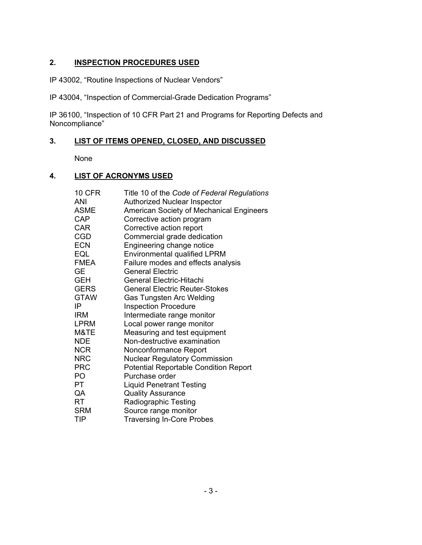## **2. INSPECTION PROCEDURES USED**

IP 43002, "Routine Inspections of Nuclear Vendors"

IP 43004, "Inspection of Commercial-Grade Dedication Programs"

IP 36100, "Inspection of 10 CFR Part 21 and Programs for Reporting Defects and Noncompliance"

# **3. LIST OF ITEMS OPENED, CLOSED, AND DISCUSSED**

None

## **4. LIST OF ACRONYMS USED**

| Title 10 of the Code of Federal Regulations  |
|----------------------------------------------|
| <b>Authorized Nuclear Inspector</b>          |
| American Society of Mechanical Engineers     |
| Corrective action program                    |
| Corrective action report                     |
| Commercial grade dedication                  |
| Engineering change notice                    |
| <b>Environmental qualified LPRM</b>          |
| Failure modes and effects analysis           |
| <b>General Electric</b>                      |
| <b>General Electric-Hitachi</b>              |
| <b>General Electric Reuter-Stokes</b>        |
| Gas Tungsten Arc Welding                     |
| <b>Inspection Procedure</b>                  |
| Intermediate range monitor                   |
| Local power range monitor                    |
| Measuring and test equipment                 |
| Non-destructive examination                  |
| Nonconformance Report                        |
| <b>Nuclear Regulatory Commission</b>         |
| <b>Potential Reportable Condition Report</b> |
| Purchase order                               |
| <b>Liquid Penetrant Testing</b>              |
| <b>Quality Assurance</b>                     |
| Radiographic Testing                         |
| Source range monitor                         |
| <b>Traversing In-Core Probes</b>             |
|                                              |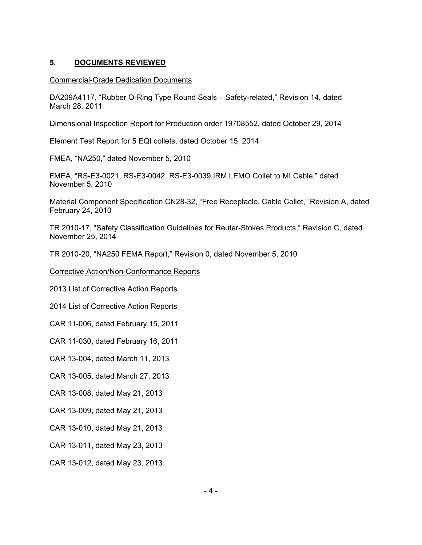## **5. DOCUMENTS REVIEWED**

#### Commercial-Grade Dedication Documents

DA209A4117, "Rubber O-Ring Type Round Seals – Safety-related," Revision 14, dated March 28, 2011

Dimensional Inspection Report for Production order 19708552, dated October 29, 2014

Element Test Report for 5 EQI collets, dated October 15, 2014

FMEA, "NA250," dated November 5, 2010

FMEA, "RS-E3-0021, RS-E3-0042, RS-E3-0039 IRM LEMO Collet to MI Cable," dated November 5, 2010

Material Component Specification CN28-32, "Free Receptacle, Cable Collet," Revision A, dated February 24, 2010

TR 2010-17, "Safety Classification Guidelines for Reuter-Stokes Products," Revision C, dated November 25, 2014

TR 2010-20, "NA250 FEMA Report," Revision 0, dated November 5, 2010

Corrective Action/Non-Conformance Reports

2013 List of Corrective Action Reports

2014 List of Corrective Action Reports

CAR 11-006, dated February 15, 2011

CAR 11-030, dated February 16, 2011

CAR 13-004, dated March 11, 2013

CAR 13-005, dated March 27, 2013

CAR 13-008, dated May 21, 2013

CAR 13-009, dated May 21, 2013

CAR 13-010, dated May 21, 2013

CAR 13-011, dated May 23, 2013

CAR 13-012, dated May 23, 2013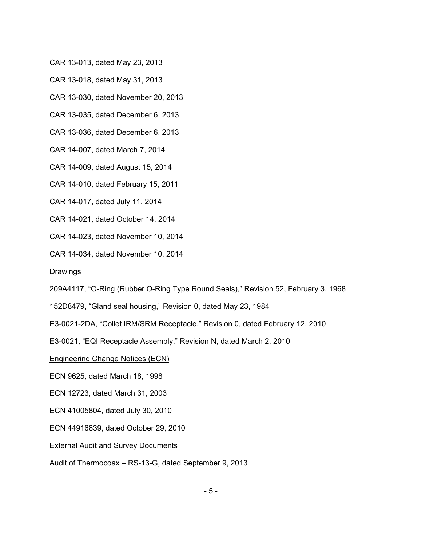CAR 13-013, dated May 23, 2013

CAR 13-018, dated May 31, 2013

CAR 13-030, dated November 20, 2013

CAR 13-035, dated December 6, 2013

CAR 13-036, dated December 6, 2013

CAR 14-007, dated March 7, 2014

CAR 14-009, dated August 15, 2014

CAR 14-010, dated February 15, 2011

CAR 14-017, dated July 11, 2014

CAR 14-021, dated October 14, 2014

CAR 14-023, dated November 10, 2014

CAR 14-034, dated November 10, 2014

**Drawings** 

209A4117, "O-Ring (Rubber O-Ring Type Round Seals)," Revision 52, February 3, 1968

152D8479, "Gland seal housing," Revision 0, dated May 23, 1984

E3-0021-2DA, "Collet IRM/SRM Receptacle," Revision 0, dated February 12, 2010

E3-0021, "EQI Receptacle Assembly," Revision N, dated March 2, 2010

Engineering Change Notices (ECN)

ECN 9625, dated March 18, 1998

ECN 12723, dated March 31, 2003

ECN 41005804, dated July 30, 2010

ECN 44916839, dated October 29, 2010

**External Audit and Survey Documents** 

Audit of Thermocoax – RS-13-G, dated September 9, 2013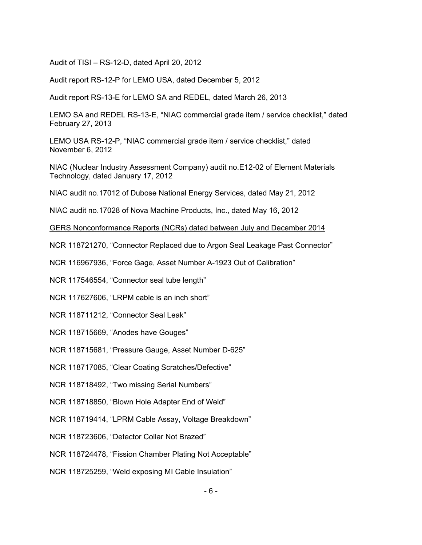Audit of TISI – RS-12-D, dated April 20, 2012

Audit report RS-12-P for LEMO USA, dated December 5, 2012

Audit report RS-13-E for LEMO SA and REDEL, dated March 26, 2013

LEMO SA and REDEL RS-13-E, "NIAC commercial grade item / service checklist," dated February 27, 2013

LEMO USA RS-12-P, "NIAC commercial grade item / service checklist," dated November 6, 2012

NIAC (Nuclear Industry Assessment Company) audit no.E12-02 of Element Materials Technology, dated January 17, 2012

NIAC audit no.17012 of Dubose National Energy Services, dated May 21, 2012

NIAC audit no.17028 of Nova Machine Products, Inc., dated May 16, 2012

GERS Nonconformance Reports (NCRs) dated between July and December 2014

NCR 118721270, "Connector Replaced due to Argon Seal Leakage Past Connector"

NCR 116967936, "Force Gage, Asset Number A-1923 Out of Calibration"

NCR 117546554, "Connector seal tube length"

NCR 117627606, "LRPM cable is an inch short"

NCR 118711212, "Connector Seal Leak"

NCR 118715669, "Anodes have Gouges"

NCR 118715681, "Pressure Gauge, Asset Number D-625"

NCR 118717085, "Clear Coating Scratches/Defective"

NCR 118718492, "Two missing Serial Numbers"

NCR 118718850, "Blown Hole Adapter End of Weld"

NCR 118719414, "LPRM Cable Assay, Voltage Breakdown"

NCR 118723606, "Detector Collar Not Brazed"

NCR 118724478, "Fission Chamber Plating Not Acceptable"

NCR 118725259, "Weld exposing MI Cable Insulation"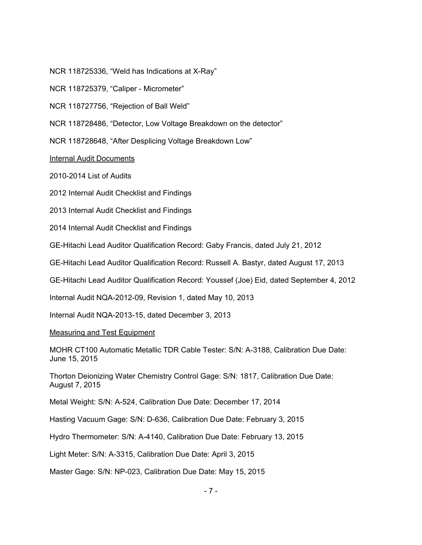NCR 118725336, "Weld has Indications at X-Ray"

NCR 118725379, "Caliper - Micrometer"

NCR 118727756, "Rejection of Ball Weld"

NCR 118728486, "Detector, Low Voltage Breakdown on the detector"

NCR 118728648, "After Desplicing Voltage Breakdown Low"

**Internal Audit Documents** 

2010-2014 List of Audits

2012 Internal Audit Checklist and Findings

2013 Internal Audit Checklist and Findings

2014 Internal Audit Checklist and Findings

GE-Hitachi Lead Auditor Qualification Record: Gaby Francis, dated July 21, 2012

GE-Hitachi Lead Auditor Qualification Record: Russell A. Bastyr, dated August 17, 2013

GE-Hitachi Lead Auditor Qualification Record: Youssef (Joe) Eid, dated September 4, 2012

Internal Audit NQA-2012-09, Revision 1, dated May 10, 2013

Internal Audit NQA-2013-15, dated December 3, 2013

#### Measuring and Test Equipment

MOHR CT100 Automatic Metallic TDR Cable Tester: S/N: A-3188, Calibration Due Date: June 15, 2015

Thorton Deionizing Water Chemistry Control Gage: S/N: 1817, Calibration Due Date: August 7, 2015

Metal Weight: S/N: A-524, Calibration Due Date: December 17, 2014

Hasting Vacuum Gage: S/N: D-636, Calibration Due Date: February 3, 2015

Hydro Thermometer: S/N: A-4140, Calibration Due Date: February 13, 2015

Light Meter: S/N: A-3315, Calibration Due Date: April 3, 2015

Master Gage: S/N: NP-023, Calibration Due Date: May 15, 2015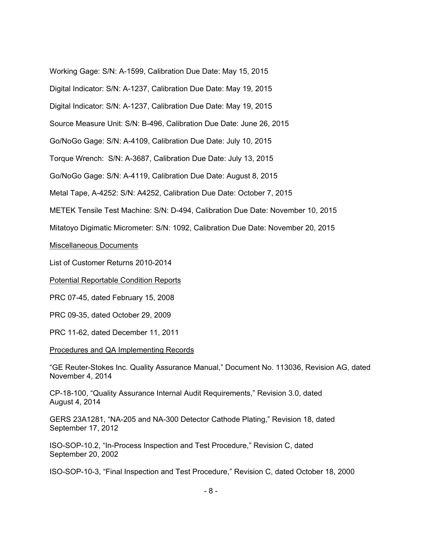Working Gage: S/N: A-1599, Calibration Due Date: May 15, 2015

Digital Indicator: S/N: A-1237, Calibration Due Date: May 19, 2015

Digital Indicator: S/N: A-1237, Calibration Due Date: May 19, 2015

Source Measure Unit: S/N: B-496, Calibration Due Date: June 26, 2015

Go/NoGo Gage: S/N: A-4109, Calibration Due Date: July 10, 2015

Torque Wrench: S/N: A-3687, Calibration Due Date: July 13, 2015

Go/NoGo Gage: S/N: A-4119, Calibration Due Date: August 8, 2015

Metal Tape, A-4252: S/N: A4252, Calibration Due Date: October 7, 2015

METEK Tensile Test Machine: S/N: D-494, Calibration Due Date: November 10, 2015

Mitatoyo Digimatic Micrometer: S/N: 1092, Calibration Due Date: November 20, 2015

Miscellaneous Documents

List of Customer Returns 2010-2014

#### Potential Reportable Condition Reports

PRC 07-45, dated February 15, 2008

PRC 09-35, dated October 29, 2009

PRC 11-62, dated December 11, 2011

#### Procedures and QA Implementing Records

"GE Reuter-Stokes Inc. Quality Assurance Manual," Document No. 113036, Revision AG, dated November 4, 2014

CP-18-100, "Quality Assurance Internal Audit Requirements," Revision 3.0, dated August 4, 2014

GERS 23A1281, "NA-205 and NA-300 Detector Cathode Plating," Revision 18, dated September 17, 2012

ISO-SOP-10.2, "In-Process Inspection and Test Procedure," Revision C, dated September 20, 2002

ISO-SOP-10-3, "Final Inspection and Test Procedure," Revision C, dated October 18, 2000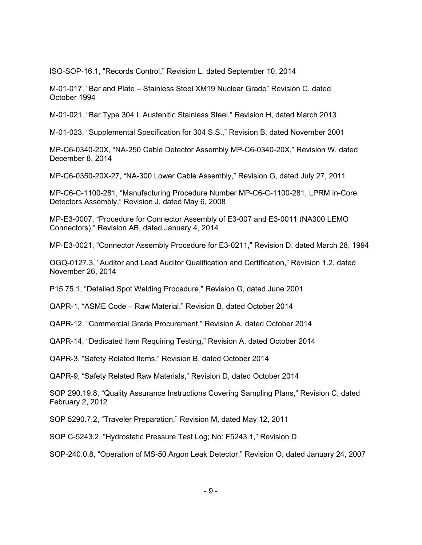ISO-SOP-16.1, "Records Control," Revision L, dated September 10, 2014

M-01-017, "Bar and Plate – Stainless Steel XM19 Nuclear Grade" Revision C, dated October 1994

M-01-021, "Bar Type 304 L Austenitic Stainless Steel," Revision H, dated March 2013

M-01-023, "Supplemental Specification for 304 S.S.," Revision B, dated November 2001

MP-C6-0340-20X, "NA-250 Cable Detector Assembly MP-C6-0340-20X," Revision W, dated December 8, 2014

MP-C6-0350-20X-27, "NA-300 Lower Cable Assembly," Revision G, dated July 27, 2011

MP-C6-C-1100-281, "Manufacturing Procedure Number MP-C6-C-1100-281, LPRM in-Core Detectors Assembly," Revision J, dated May 6, 2008

MP-E3-0007, "Procedure for Connector Assembly of E3-007 and E3-0011 (NA300 LEMO Connectors)," Revision AB, dated January 4, 2014

MP-E3-0021, "Connector Assembly Procedure for E3-0211," Revision D, dated March 28, 1994

OGQ-0127.3, "Auditor and Lead Auditor Qualification and Certification," Revision 1.2, dated November 26, 2014

P15.75.1, "Detailed Spot Welding Procedure," Revision G, dated June 2001

QAPR-1, "ASME Code – Raw Material," Revision B, dated October 2014

QAPR-12, "Commercial Grade Procurement," Revision A, dated October 2014

QAPR-14, "Dedicated Item Requiring Testing," Revision A, dated October 2014

QAPR-3, "Safety Related Items," Revision B, dated October 2014

QAPR-9, "Safety Related Raw Materials," Revision D, dated October 2014

SOP 290.19.8, "Quality Assurance Instructions Covering Sampling Plans," Revision C, dated February 2, 2012

SOP 5290.7.2, "Traveler Preparation," Revision M, dated May 12, 2011

SOP C-5243.2, "Hydrostatic Pressure Test Log; No: F5243.1," Revision D

SOP-240.0.8, "Operation of MS-50 Argon Leak Detector," Revision O, dated January 24, 2007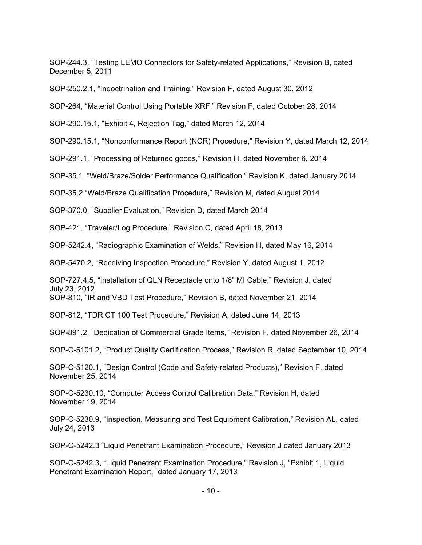SOP-244.3, "Testing LEMO Connectors for Safety-related Applications," Revision B, dated December 5, 2011

SOP-250.2.1, "Indoctrination and Training," Revision F, dated August 30, 2012

SOP-264, "Material Control Using Portable XRF," Revision F, dated October 28, 2014

SOP-290.15.1, "Exhibit 4, Rejection Tag," dated March 12, 2014

SOP-290.15.1, "Nonconformance Report (NCR) Procedure," Revision Y, dated March 12, 2014

SOP-291.1, "Processing of Returned goods," Revision H, dated November 6, 2014

SOP-35.1, "Weld/Braze/Solder Performance Qualification," Revision K, dated January 2014

SOP-35.2 "Weld/Braze Qualification Procedure," Revision M, dated August 2014

SOP-370.0, "Supplier Evaluation," Revision D, dated March 2014

SOP-421, "Traveler/Log Procedure," Revision C, dated April 18, 2013

SOP-5242.4, "Radiographic Examination of Welds," Revision H, dated May 16, 2014

SOP-5470.2, "Receiving Inspection Procedure," Revision Y, dated August 1, 2012

SOP-727.4.5, "Installation of QLN Receptacle onto 1/8" MI Cable," Revision J, dated July 23, 2012

SOP-810, "IR and VBD Test Procedure," Revision B, dated November 21, 2014

SOP-812, "TDR CT 100 Test Procedure," Revision A, dated June 14, 2013

SOP-891.2, "Dedication of Commercial Grade Items," Revision F, dated November 26, 2014

SOP-C-5101.2, "Product Quality Certification Process," Revision R, dated September 10, 2014

SOP-C-5120.1, "Design Control (Code and Safety-related Products)," Revision F, dated November 25, 2014

SOP-C-5230.10, "Computer Access Control Calibration Data," Revision H, dated November 19, 2014

SOP-C-5230.9, "Inspection, Measuring and Test Equipment Calibration," Revision AL, dated July 24, 2013

SOP-C-5242.3 "Liquid Penetrant Examination Procedure," Revision J dated January 2013

SOP-C-5242.3, "Liquid Penetrant Examination Procedure," Revision J, "Exhibit 1, Liquid Penetrant Examination Report," dated January 17, 2013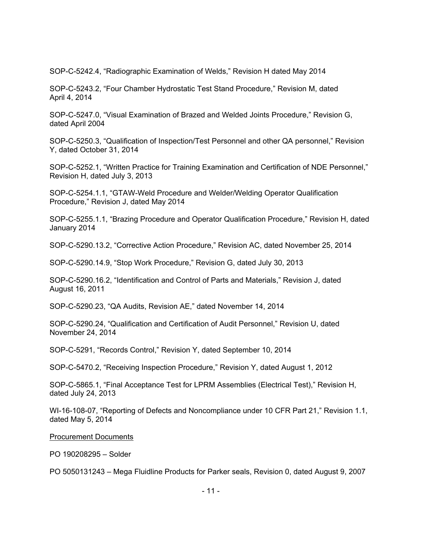SOP-C-5242.4, "Radiographic Examination of Welds," Revision H dated May 2014

SOP-C-5243.2, "Four Chamber Hydrostatic Test Stand Procedure," Revision M, dated April 4, 2014

SOP-C-5247.0, "Visual Examination of Brazed and Welded Joints Procedure," Revision G, dated April 2004

SOP-C-5250.3, "Qualification of Inspection/Test Personnel and other QA personnel," Revision Y, dated October 31, 2014

SOP-C-5252.1, "Written Practice for Training Examination and Certification of NDE Personnel," Revision H, dated July 3, 2013

SOP-C-5254.1.1, "GTAW-Weld Procedure and Welder/Welding Operator Qualification Procedure," Revision J, dated May 2014

SOP-C-5255.1.1, "Brazing Procedure and Operator Qualification Procedure," Revision H, dated January 2014

SOP-C-5290.13.2, "Corrective Action Procedure," Revision AC, dated November 25, 2014

SOP-C-5290.14.9, "Stop Work Procedure," Revision G, dated July 30, 2013

SOP-C-5290.16.2, "Identification and Control of Parts and Materials," Revision J, dated August 16, 2011

SOP-C-5290.23, "QA Audits, Revision AE," dated November 14, 2014

SOP-C-5290.24, "Qualification and Certification of Audit Personnel," Revision U, dated November 24, 2014

SOP-C-5291, "Records Control," Revision Y, dated September 10, 2014

SOP-C-5470.2, "Receiving Inspection Procedure," Revision Y, dated August 1, 2012

SOP-C-5865.1, "Final Acceptance Test for LPRM Assemblies (Electrical Test)," Revision H, dated July 24, 2013

WI-16-108-07, "Reporting of Defects and Noncompliance under 10 CFR Part 21," Revision 1.1, dated May 5, 2014

#### Procurement Documents

PO 190208295 – Solder

PO 5050131243 – Mega Fluidline Products for Parker seals, Revision 0, dated August 9, 2007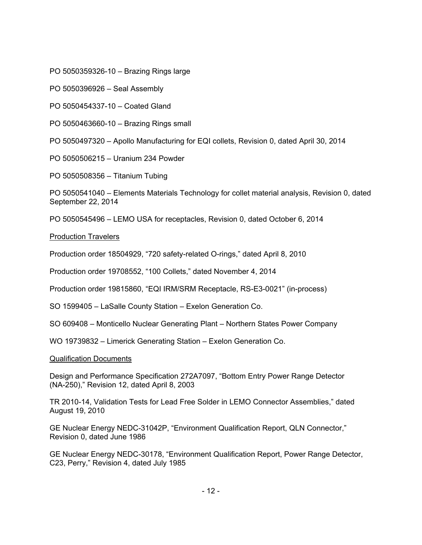PO 5050359326-10 – Brazing Rings large

PO 5050396926 – Seal Assembly

PO 5050454337-10 – Coated Gland

PO 5050463660-10 – Brazing Rings small

PO 5050497320 – Apollo Manufacturing for EQI collets, Revision 0, dated April 30, 2014

PO 5050506215 – Uranium 234 Powder

PO 5050508356 – Titanium Tubing

PO 5050541040 – Elements Materials Technology for collet material analysis, Revision 0, dated September 22, 2014

PO 5050545496 – LEMO USA for receptacles, Revision 0, dated October 6, 2014

Production Travelers

Production order 18504929, "720 safety-related O-rings," dated April 8, 2010

Production order 19708552, "100 Collets," dated November 4, 2014

Production order 19815860, "EQI IRM/SRM Receptacle, RS-E3-0021" (in-process)

SO 1599405 – LaSalle County Station – Exelon Generation Co.

SO 609408 – Monticello Nuclear Generating Plant – Northern States Power Company

WO 19739832 – Limerick Generating Station – Exelon Generation Co.

Qualification Documents

Design and Performance Specification 272A7097, "Bottom Entry Power Range Detector (NA-250)," Revision 12, dated April 8, 2003

TR 2010-14, Validation Tests for Lead Free Solder in LEMO Connector Assemblies," dated August 19, 2010

GE Nuclear Energy NEDC-31042P, "Environment Qualification Report, QLN Connector," Revision 0, dated June 1986

GE Nuclear Energy NEDC-30178, "Environment Qualification Report, Power Range Detector, C23, Perry," Revision 4, dated July 1985